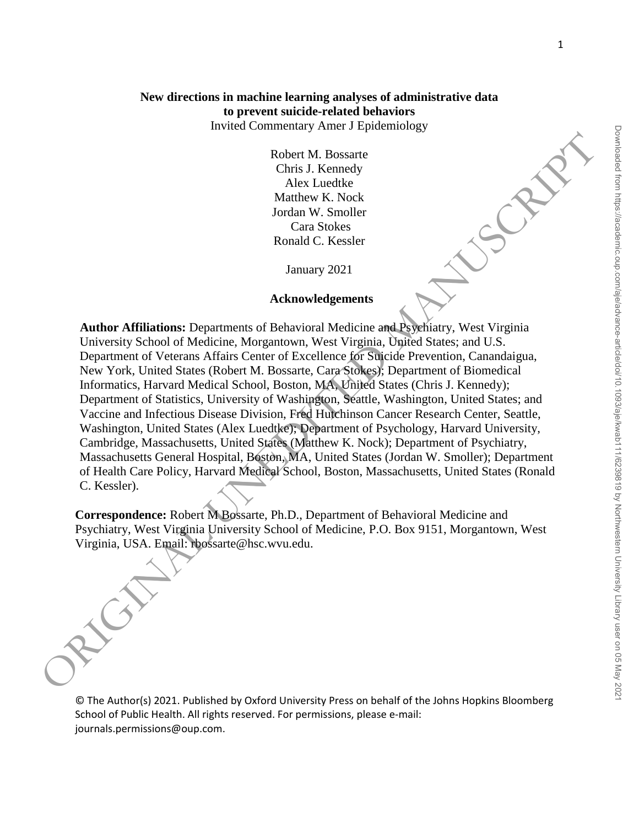# **New directions in machine learning analyses of administrative data to prevent suicide-related behaviors**

Invited Commentary Amer J Epidemiology

Robert M. Bossarte Chris J. Kennedy Alex Luedtke Matthew K. Nock Jordan W. Smoller Cara Stokes Ronald C. Kessler

January 2021

### **Acknowledgements**

**Author Affiliations:** Departments of Behavioral Medicine and Psychiatry, West Virginia University School of Medicine, Morgantown, West Virginia, United States; and U.S. Department of Veterans Affairs Center of Excellence for Suicide Prevention, Canandaigua, New York, United States (Robert M. Bossarte, Cara Stokes); Department of Biomedical Informatics, Harvard Medical School, Boston, MA, United States (Chris J. Kennedy); Department of Statistics, University of Washington, Seattle, Washington, United States; and Vaccine and Infectious Disease Division, Fred Hutchinson Cancer Research Center, Seattle, Washington, United States (Alex Luedtke); Department of Psychology, Harvard University, Cambridge, Massachusetts, United States (Matthew K. Nock); Department of Psychiatry, Massachusetts General Hospital, Boston, MA, United States (Jordan W. Smoller); Department of Health Care Policy, Harvard Medical School, Boston, Massachusetts, United States (Ronald C. Kessler). Robert M. Bossarte<br>
Chris J. Kemedyk<br>
Alex Landhke<br>
Alex Landhke<br>
Archar McK, Nordch<br>
Archar McK, Nordch W. Smoller<br>
Christens W. Noolel<br>
Christens School of Medicine, McGrandover, West Virginia<br>
University School Of Medic

**Correspondence:** Robert M Bossarte, Ph.D., Department of Behavioral Medicine and Psychiatry, West Virginia University School of Medicine, P.O. Box 9151, Morgantown, West

© The Author(s) 2021. Published by Oxford University Press on behalf of the Johns Hopkins Bloomberg School of Public Health. All rights reserved. For permissions, please e-mail: journals.permissions@oup.com.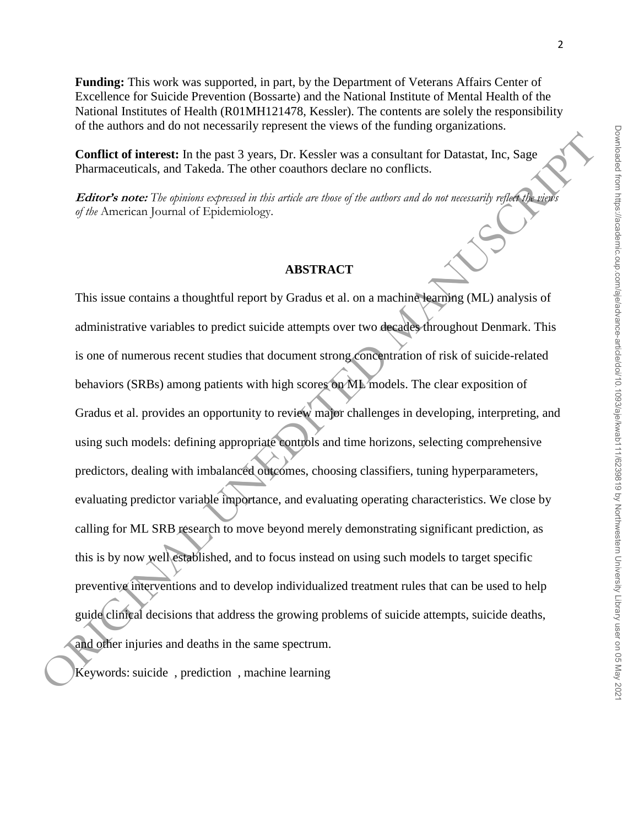**Funding:** This work was supported, in part, by the Department of Veterans Affairs Center of Excellence for Suicide Prevention (Bossarte) and the National Institute of Mental Health of the National Institutes of Health (R01MH121478, Kessler). The contents are solely the responsibility

**Conflict of interest:** In the past 3 years, Dr. Kessler was a consultant for Datastat, Inc, Sage Pharmaceuticals, and Takeda. The other coauthors declare no conflicts.

of the authors and do not necessarily represent the views of the funding organizations.

**Editor's note:** The opinions expressed in this article are those of the authors and do not necessarily reflect the view *of the* American Journal of Epidemiology.

#### **ABSTRACT**

This issue contains a thoughtful report by Gradus et al. on a machine learning (ML) analysis of administrative variables to predict suicide attempts over two decades throughout Denmark. This is one of numerous recent studies that document strong concentration of risk of suicide-related behaviors (SRBs) among patients with high scores on ML models. The clear exposition of Gradus et al. provides an opportunity to review major challenges in developing, interpreting, and using such models: defining appropriate controls and time horizons, selecting comprehensive predictors, dealing with imbalanced outcomes, choosing classifiers, tuning hyperparameters, evaluating predictor variable importance, and evaluating operating characteristics. We close by calling for ML SRB research to move beyond merely demonstrating significant prediction, as this is by now well established, and to focus instead on using such models to target specific preventive interventions and to develop individualized treatment rules that can be used to help guide clinical decisions that address the growing problems of suicide attempts, suicide deaths, calling for ML SRB research to move beyond merel<br>this is by now well established, and to focus instead<br>preventive interventions and to develop individualiz<br>guide clinical decisions that address the growing pro<br>and other in The past 3 years, Dr. Kessler was a consultant for Datastat, Inc., Sage<br>
eda. The other coauthors declare no conflicts.<br>
Epidemiology.<br>
Epidemiology.<br>
ABSTRACT<br>
Epidemiology.<br>
ABSTRACT<br>
Septemiology.<br>
ABSTRACT<br>
Septemiolog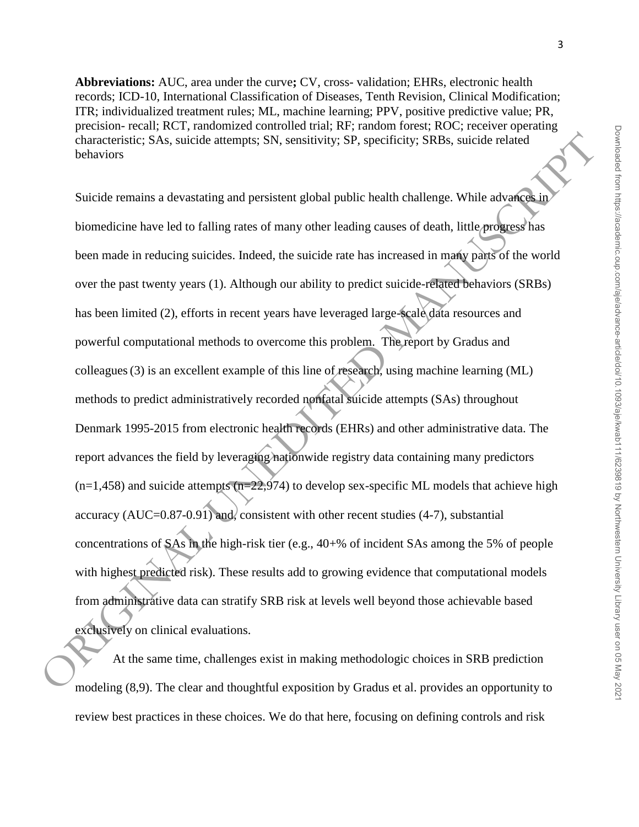Downloaded from https://academic.oup.com/aje/advance-article/doi/10.1093/aje/kwab111/6239819 by Northwestern University Library user on 05 May 202 Downloaded from https://academic.oup.com/aje/advance-article/doi/10.1093/aje/kwab111/6239819 by Northwestern University Library user on 05 May 2021

**Abbreviations:** AUC, area under the curve**;** CV, cross- validation; EHRs, electronic health records; ICD-10, International Classification of Diseases, Tenth Revision, Clinical Modification; ITR; individualized treatment rules; ML, machine learning; PPV, positive predictive value; PR, precision- recall; RCT, randomized controlled trial; RF; random forest; ROC; receiver operating characteristic; SAs, suicide attempts; SN, sensitivity; SP, specificity; SRBs, suicide related behaviors

Suicide remains a devastating and persistent global public health challenge. While advances in biomedicine have led to falling rates of many other leading causes of death, little progress has been made in reducing suicides. Indeed, the suicide rate has increased in many parts of the world over the past twenty years (1). Although our ability to predict suicide-related behaviors (SRBs) has been limited (2), efforts in recent years have leveraged large-scale data resources and powerful computational methods to overcome this problem. The report by Gradus and colleagues(3) is an excellent example of this line of research, using machine learning (ML) methods to predict administratively recorded nonfatal suicide attempts (SAs) throughout Denmark 1995-2015 from electronic health records (EHRs) and other administrative data. The report advances the field by leveraging nationwide registry data containing many predictors  $(n=1,458)$  and suicide attempts  $(n=22,974)$  to develop sex-specific ML models that achieve high accuracy  $(AUC=0.87-0.91)$  and, consistent with other recent studies (4-7), substantial concentrations of SAs in the high-risk tier (e.g., 40+% of incident SAs among the 5% of people with highest predicted risk). These results add to growing evidence that computational models from administrative data can stratify SRB risk at levels well beyond those achievable based exclusively on clinical evaluations. characteristic: SAs. suicide attempts: SN: sensitivity: SP. specificity: SRBs. suicide related<br>behaviors<br>Suicide remains a devastating and persistent global public health challenge. While advanced<br>is biomedicine have led

At the same time, challenges exist in making methodologic choices in SRB prediction modeling (8,9). The clear and thoughtful exposition by Gradus et al. provides an opportunity to review best practices in these choices. We do that here, focusing on defining controls and risk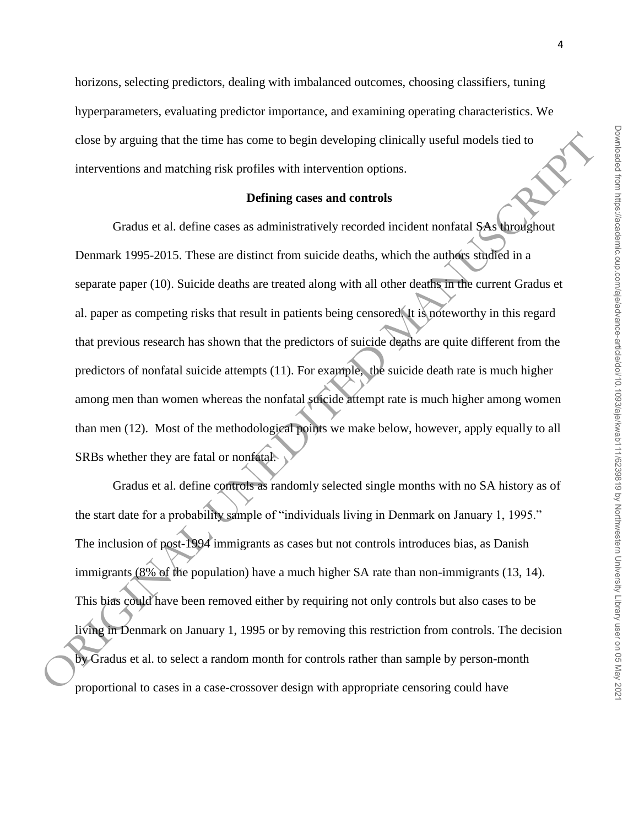horizons, selecting predictors, dealing with imbalanced outcomes, choosing classifiers, tuning hyperparameters, evaluating predictor importance, and examining operating characteristics. We close by arguing that the time has come to begin developing clinically useful models tied to interventions and matching risk profiles with intervention options.

## **Defining cases and controls**

Gradus et al. define cases as administratively recorded incident nonfatal SAs throughout Denmark 1995-2015. These are distinct from suicide deaths, which the authors studied in a separate paper (10). Suicide deaths are treated along with all other deaths in the current Gradus et al. paper as competing risks that result in patients being censored. It is noteworthy in this regard that previous research has shown that the predictors of suicide deaths are quite different from the predictors of nonfatal suicide attempts (11). For example, the suicide death rate is much higher among men than women whereas the nonfatal suicide attempt rate is much higher among women than men (12). Most of the methodological points we make below, however, apply equally to all SRBs whether they are fatal or nonfatal. time has come to begin developing clinically useful models tied to<br>g risk profiles with intervention options.<br>Defining cases and controls<br>executes are distinct from suicide deaths, which the authors situated in a<br>de deaths

Gradus et al. define controls as randomly selected single months with no SA history as of the start date for a probability sample of "individuals living in Denmark on January 1, 1995." The inclusion of post-1994 immigrants as cases but not controls introduces bias, as Danish immigrants (8% of the population) have a much higher SA rate than non-immigrants (13, 14). This bias could have been removed either by requiring not only controls but also cases to be living in Denmark on January 1, 1995 or by removing this restriction from controls. The decision The inclusion of post-1994 immigrants as cases but not controls introduces bias, as Danish<br>immigrants (8% of the population) have a much higher SA rate than non-immigrants (13, 1<br>This bias could have been removed either by proportional to cases in a case-crossover design with appropriate censoring could have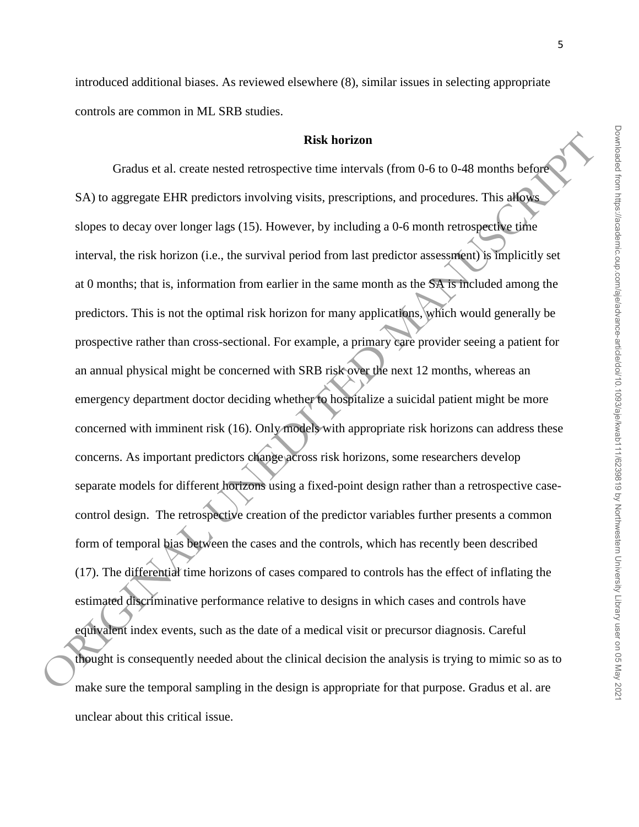introduced additional biases. As reviewed elsewhere (8), similar issues in selecting appropriate controls are common in ML SRB studies.

#### **Risk horizon**

Gradus et al. create nested retrospective time intervals (from 0-6 to 0-48 months before SA) to aggregate EHR predictors involving visits, prescriptions, and procedures. This allows slopes to decay over longer lags (15). However, by including a 0-6 month retrospective time interval, the risk horizon (i.e., the survival period from last predictor assessment) is implicitly set at 0 months; that is, information from earlier in the same month as the SA is included among the predictors. This is not the optimal risk horizon for many applications, which would generally be prospective rather than cross-sectional. For example, a primary care provider seeing a patient for an annual physical might be concerned with SRB risk over the next 12 months, whereas an emergency department doctor deciding whether to hospitalize a suicidal patient might be more concerned with imminent risk (16). Only models with appropriate risk horizons can address these concerns. As important predictors change across risk horizons, some researchers develop separate models for different horizons using a fixed-point design rather than a retrospective casecontrol design. The retrospective creation of the predictor variables further presents a common form of temporal bias between the cases and the controls, which has recently been described (17). The differential time horizons of cases compared to controls has the effect of inflating the estimated discriminative performance relative to designs in which cases and controls have equivalent index events, such as the date of a medical visit or precursor diagnosis. Careful thought is consequently needed about the clinical decision the analysis is trying to mimic so as to make sure the temporal sampling in the design is appropriate for that purpose. Gradus et al. are unclear about this critical issue. **CONSUMERATION** CONSULTERINGTIFIES (16). The difference of the specific term intervals (cfrom 0-6 to 0-48 membs hefrequences in a specific scheme. This attack alone so decay over longer lags (15). However, by including a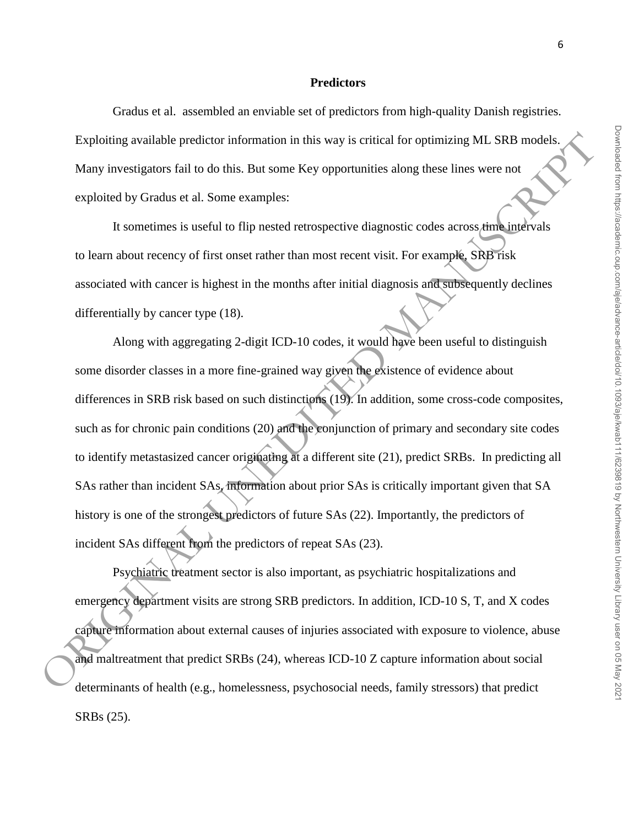#### **Predictors**

Gradus et al. assembled an enviable set of predictors from high-quality Danish registries. Exploiting available predictor information in this way is critical for optimizing ML SRB models. Many investigators fail to do this. But some Key opportunities along these lines were not exploited by Gradus et al. Some examples:

It sometimes is useful to flip nested retrospective diagnostic codes across time intervals to learn about recency of first onset rather than most recent visit. For example, SRB risk associated with cancer is highest in the months after initial diagnosis and subsequently declines differentially by cancer type (18).

Along with aggregating 2-digit ICD-10 codes, it would have been useful to distinguish some disorder classes in a more fine-grained way given the existence of evidence about differences in SRB risk based on such distinctions (19). In addition, some cross-code composites, such as for chronic pain conditions (20) and the conjunction of primary and secondary site codes to identify metastasized cancer originating at a different site (21), predict SRBs. In predicting all SAs rather than incident SAs, information about prior SAs is critically important given that SA history is one of the strongest predictors of future SAs (22). Importantly, the predictors of incident SAs different from the predictors of repeat SAs (23). Exploiting evaliable predictor information in this way is critical for optimizing ML SRB models.<br>
Many investigators full to do this. But same Key opportunities along these lines were not<br>
exploited by Gradus et al. Some

Psychiatric treatment sector is also important, as psychiatric hospitalizations and emergency department visits are strong SRB predictors. In addition, ICD-10 S, T, and X codes capture information about external causes of injuries associated with exposure to violence, abuse and maltreatment that predict SRBs (24), whereas ICD-10 Z capture information about social determinants of health (e.g., homelessness, psychosocial needs, family stressors) that predict SRBs (25).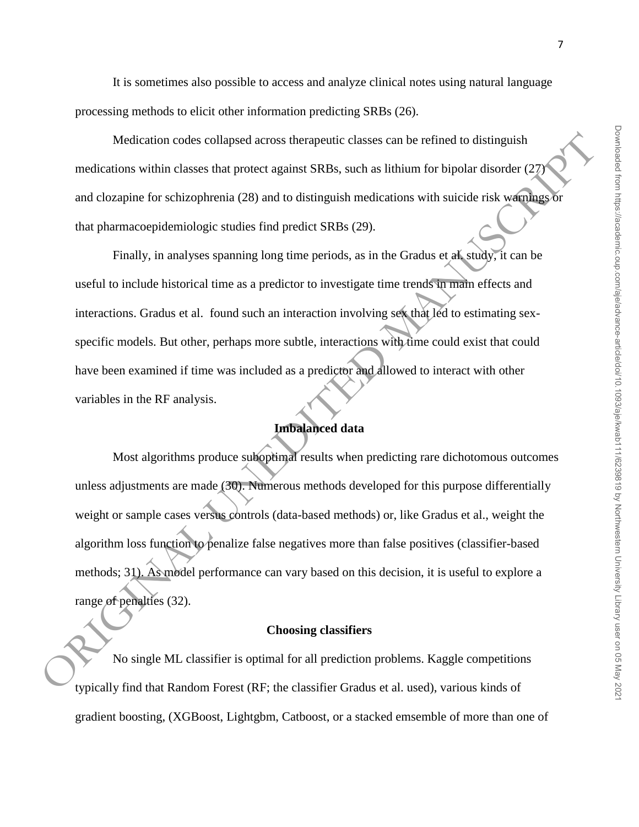It is sometimes also possible to access and analyze clinical notes using natural language processing methods to elicit other information predicting SRBs (26).

Medication codes collapsed across therapeutic classes can be refined to distinguish medications within classes that protect against SRBs, such as lithium for bipolar disorder (27) and clozapine for schizophrenia (28) and to distinguish medications with suicide risk warnings or that pharmacoepidemiologic studies find predict SRBs (29).

Finally, in analyses spanning long time periods, as in the Gradus et al. study, it can be useful to include historical time as a predictor to investigate time trends in main effects and interactions. Gradus et al. found such an interaction involving sex that led to estimating sexspecific models. But other, perhaps more subtle, interactions with time could exist that could have been examined if time was included as a predictor and allowed to interact with other variables in the RF analysis.

## **Imbalanced data**

Most algorithms produce suboptimal results when predicting rare dichotomous outcomes unless adjustments are made (30). Numerous methods developed for this purpose differentially weight or sample cases versus controls (data-based methods) or, like Gradus et al., weight the algorithm loss function to penalize false negatives more than false positives (classifier-based methods; 31). As model performance can vary based on this decision, it is useful to explore a range of penalties (32). Medication codes collapsed across therapeutic classes can be refined to distinguish<br>medications within classes that protect against SRBs, such as lithium for bipolar disorder (27)<br>and clozapine for schizophrenia (28) and

#### **Choosing classifiers**

No single ML classifier is optimal for all prediction problems. Kaggle competitions typically find that Random Forest (RF; the classifier Gradus et al. used), various kinds of gradient boosting, (XGBoost, Lightgbm, Catboost, or a stacked emsemble of more than one of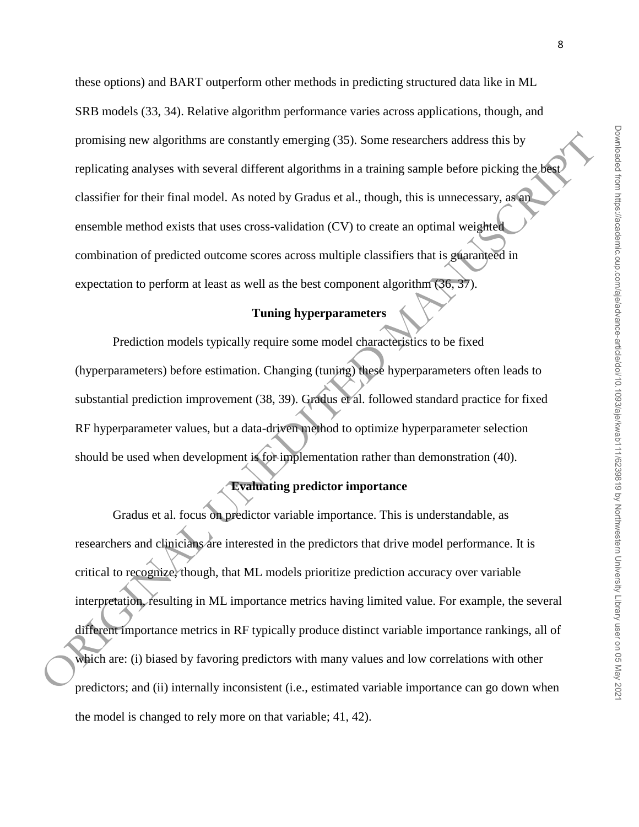Downloaded from https://academic.oup.com/aje/advance-article/doi/10.1093/aje/kwab111/6239819 by Northwestern University Library user on 05 May 202 Downloaded from https://academic.oup.com/aje/advance-article/doi/10.1093/aje/kwab111/6239819 by Northwestern University Library user on 05 May 2021

these options) and BART outperform other methods in predicting structured data like in ML SRB models (33, 34). Relative algorithm performance varies across applications, though, and promising new algorithms are constantly emerging (35). Some researchers address this by replicating analyses with several different algorithms in a training sample before picking the best classifier for their final model. As noted by Gradus et al., though, this is unnecessary, as an ensemble method exists that uses cross-validation (CV) to create an optimal weighted combination of predicted outcome scores across multiple classifiers that is guaranteed in expectation to perform at least as well as the best component algorithm (36, 37).

## **Tuning hyperparameters**

Prediction models typically require some model characteristics to be fixed (hyperparameters) before estimation. Changing (tuning) these hyperparameters often leads to substantial prediction improvement (38, 39). Gradus et al. followed standard practice for fixed RF hyperparameter values, but a data-driven method to optimize hyperparameter selection should be used when development is for implementation rather than demonstration (40).

# **Evaluating predictor importance**

Gradus et al. focus on predictor variable importance. This is understandable, as researchers and clinicians are interested in the predictors that drive model performance. It is critical to recognize, though, that ML models prioritize prediction accuracy over variable interpretation, resulting in ML importance metrics having limited value. For example, the several different importance metrics in RF typically produce distinct variable importance rankings, all of which are: (i) biased by favoring predictors with many values and low correlations with other predictors; and (ii) internally inconsistent (i.e., estimated variable importance can go down when the model is changed to rely more on that variable; 41, 42). promising new algorithms are constantly emerging (35). Some researchers address this by<br>replicating analyses with several different algorithms in a training sample before picking the photo<br>classifier for their final model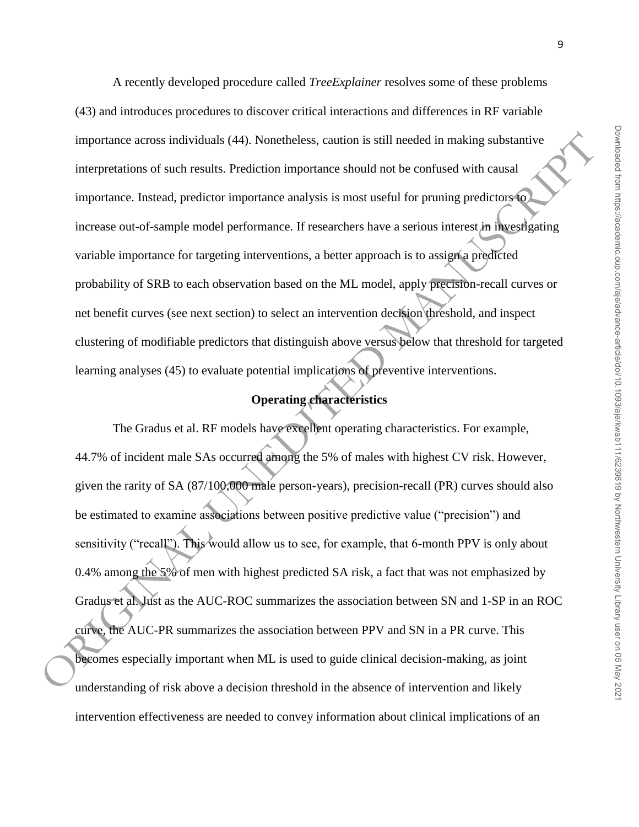A recently developed procedure called *TreeExplainer* resolves some of these problems (43) and introduces procedures to discover critical interactions and differences in RF variable importance across individuals (44). Nonetheless, caution is still needed in making substantive interpretations of such results. Prediction importance should not be confused with causal importance. Instead, predictor importance analysis is most useful for pruning predictors to increase out-of-sample model performance. If researchers have a serious interest in investigating variable importance for targeting interventions, a better approach is to assign a predicted probability of SRB to each observation based on the ML model, apply precision-recall curves or net benefit curves (see next section) to select an intervention decision threshold, and inspect clustering of modifiable predictors that distinguish above versus below that threshold for targeted learning analyses (45) to evaluate potential implications of preventive interventions.

# **Operating characteristics**

The Gradus et al. RF models have excellent operating characteristics. For example, 44.7% of incident male SAs occurred among the 5% of males with highest CV risk. However, given the rarity of SA (87/100,000 male person-years), precision-recall (PR) curves should also be estimated to examine associations between positive predictive value ("precision") and sensitivity ("recall"). This would allow us to see, for example, that 6-month PPV is only about 0.4% among the 5% of men with highest predicted SA risk, a fact that was not emphasized by Gradus et al. Just as the AUC-ROC summarizes the association between SN and 1-SP in an ROC curve, the AUC-PR summarizes the association between PPV and SN in a PR curve. This becomes especially important when ML is used to guide clinical decision-making, as joint understanding of risk above a decision threshold in the absence of intervention and likely intervention effectiveness are needed to convey information about clinical implications of an importance across individuals (44). Nonelheless. caution is still needed in making substantive<br>interpretarions of such results. Prediction importance should root be confused with causal<br>importance. Instead, predictor impor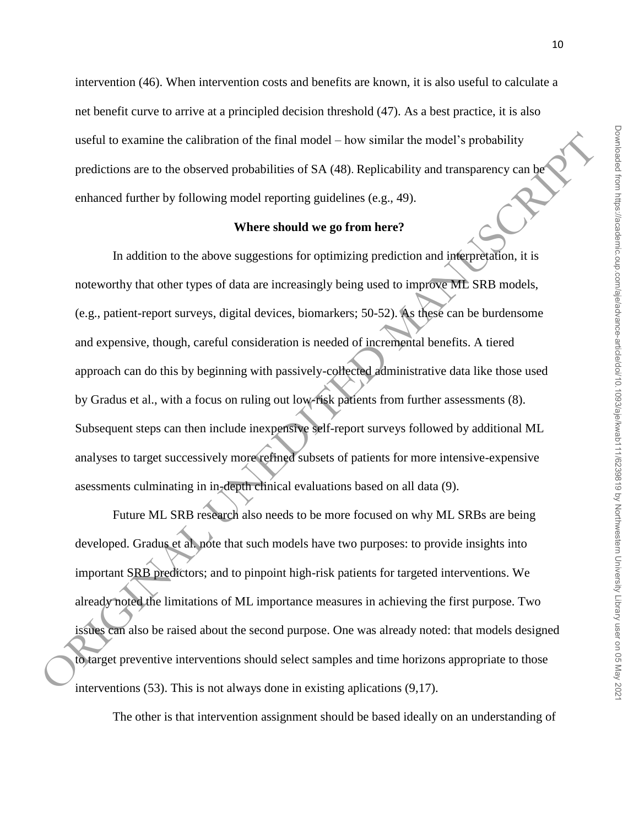intervention (46). When intervention costs and benefits are known, it is also useful to calculate a net benefit curve to arrive at a principled decision threshold (47). As a best practice, it is also useful to examine the calibration of the final model – how similar the model's probability predictions are to the observed probabilities of SA (48). Replicability and transparency can be enhanced further by following model reporting guidelines (e.g., 49).

#### **Where should we go from here?**

In addition to the above suggestions for optimizing prediction and interpretation, it is noteworthy that other types of data are increasingly being used to improve ML SRB models, (e.g., patient-report surveys, digital devices, biomarkers; 50-52). As these can be burdensome and expensive, though, careful consideration is needed of incremental benefits. A tiered approach can do this by beginning with passively-collected administrative data like those used by Gradus et al., with a focus on ruling out low-risk patients from further assessments (8). Subsequent steps can then include inexpensive self-report surveys followed by additional ML analyses to target successively more refined subsets of patients for more intensive-expensive asessments culminating in in-depth clinical evaluations based on all data (9). useful to examine the calibration of the final model - how similar the model's probability<br>predictions are to the observed probabilities of SA (48). Replicahility and transparency can be<br>enhanced further by following mode

Future ML SRB research also needs to be more focused on why ML SRBs are being developed. Gradus et al. note that such models have two purposes: to provide insights into important SRB predictors; and to pinpoint high-risk patients for targeted interventions. We already noted the limitations of ML importance measures in achieving the first purpose. Two issues can also be raised about the second purpose. One was already noted: that models designed to target preventive interventions should select samples and time horizons appropriate to those interventions (53). This is not always done in existing aplications (9,17).

The other is that intervention assignment should be based ideally on an understanding of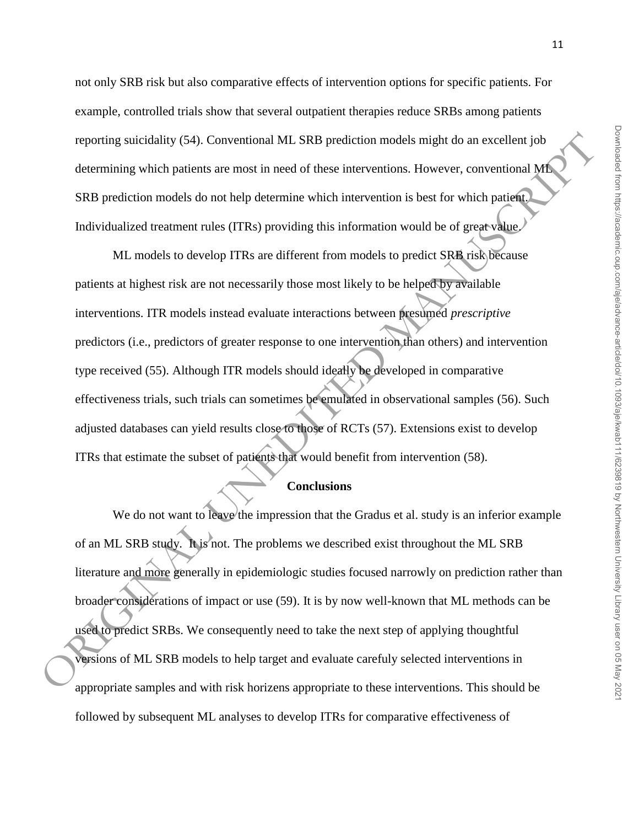not only SRB risk but also comparative effects of intervention options for specific patients. For example, controlled trials show that several outpatient therapies reduce SRBs among patients reporting suicidality (54). Conventional ML SRB prediction models might do an excellent job determining which patients are most in need of these interventions. However, conventional ML SRB prediction models do not help determine which intervention is best for which patient. Individualized treatment rules (ITRs) providing this information would be of great value.

ML models to develop ITRs are different from models to predict SRB risk because patients at highest risk are not necessarily those most likely to be helped by available interventions. ITR models instead evaluate interactions between presumed *prescriptive* predictors (i.e., predictors of greater response to one intervention than others) and intervention type received (55). Although ITR models should ideally be developed in comparative effectiveness trials, such trials can sometimes be emulated in observational samples (56). Such adjusted databases can yield results close to those of RCTs (57). Extensions exist to develop ITRs that estimate the subset of patients that would benefit from intervention (58). reporting suicidality (54). Conventional ML SRB prediction models might do an excellent job<br>determining which parients are most in need of these interventions. However, conventional MC<br>SRB prediction models do not help de

#### **Conclusions**

We do not want to leave the impression that the Gradus et al. study is an inferior example of an ML SRB study. It is not. The problems we described exist throughout the ML SRB literature and more generally in epidemiologic studies focused narrowly on prediction rather than broader considerations of impact or use (59). It is by now well-known that ML methods can be used to predict SRBs. We consequently need to take the next step of applying thoughtful versions of ML SRB models to help target and evaluate carefuly selected interventions in appropriate samples and with risk horizens appropriate to these interventions. This should be followed by subsequent ML analyses to develop ITRs for comparative effectiveness of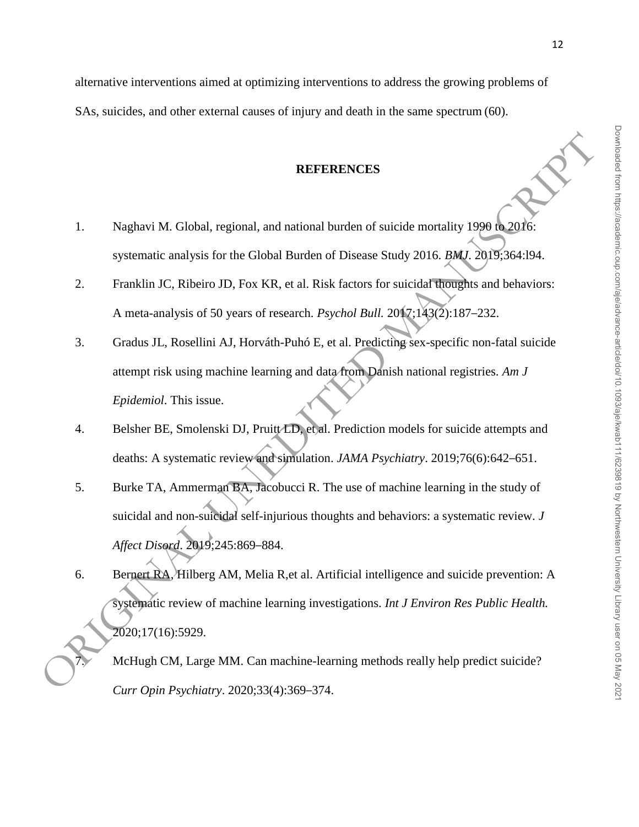alternative interventions aimed at optimizing interventions to address the growing problems of SAs, suicides, and other external causes of injury and death in the same spectrum (60).

## **REFERENCES**

- 1. Naghavi M. Global, regional, and national burden of suicide mortality 1990 to 2016: systematic analysis for the Global Burden of Disease Study 2016. *BMJ*. 2019;364:l94.
- 2. Franklin JC, Ribeiro JD, Fox KR, et al. Risk factors for suicidal thoughts and behaviors: A meta-analysis of 50 years of research. *Psychol Bull.* 2017;143(2):187–232.
- 3. Gradus JL, Rosellini AJ, Horváth-Puhó E, et al. Predicting sex-specific non-fatal suicide attempt risk using machine learning and data from Danish national registries. *Am J Epidemiol*. This issue. **Independent Control of Science Study 2016.**<br>
In regional, and national burden of suicide mortality 1990 to 2016:<br>
Is for the Global Burden of Disease Study 2016. *BMJ*. 2019;364:194.<br>
Iri AJ, Horváth-Puhó E, et al. Predi
- 4. Belsher BE, Smolenski DJ, Pruitt/LD, et al. Prediction models for suicide attempts and deaths: A systematic review and simulation. *JAMA Psychiatry*. 2019;76(6):642–651.
- 5. Burke TA, Ammerman BA, Jacobucci R. The use of machine learning in the study of suicidal and non-suicidal self-injurious thoughts and behaviors: a systematic review. *J Affect Disord*. 2019;245:869–884.
- 6. Bernert RA, Hilberg AM, Melia R,et al. Artificial intelligence and suicide prevention: A systematic review of machine learning investigations. *Int J Environ Res Public Health.* 2020;17(16):5929. *Affect Disord.* 2019;245:869–884.<br>
6. Bernert RA, Hilberg AM, Melia R, et al. Artificial intelligence and suicide prevention:<br>
Systematic review of machine-learning investigations. *Int J Environ Res Public Health*<br>
2020;

*Curr Opin Psychiatry*. 2020;33(4):369–374.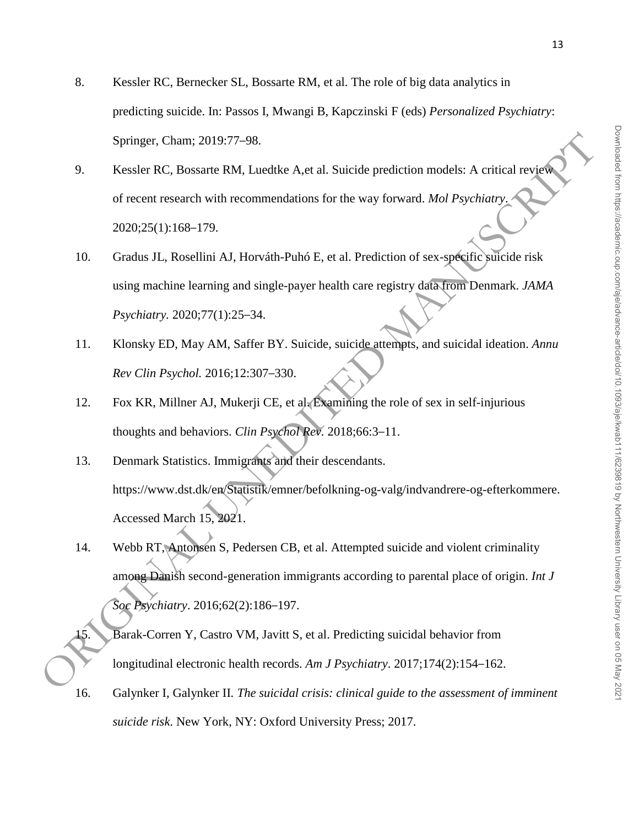- 8. Kessler RC, Bernecker SL, Bossarte RM, et al. The role of big data analytics in predicting suicide. In: Passos I, Mwangi B, Kapczinski F (eds) *Personalized Psychiatry*: Springer, Cham; 2019:77–98.
- 9. Kessler RC, Bossarte RM, Luedtke A,et al. Suicide prediction models: A critical review of recent research with recommendations for the way forward. *Mol Psychiatry*. 2020;25(1):168–179.
- 10. Gradus JL, Rosellini AJ, Horváth-Puhó E, et al. Prediction of sex-specific suicide risk using machine learning and single-payer health care registry data from Denmark. *JAMA Psychiatry.* 2020;77(1):25–34.
- 11. Klonsky ED, May AM, Saffer BY. Suicide, suicide attempts, and suicidal ideation. *Annu Rev Clin Psychol.* 2016;12:307–330.
- 12. Fox KR, Millner AJ, Mukerji CE, et al. Examining the role of sex in self-injurious thoughts and behaviors. *Clin Psychol Rev.* 2018;66:3–11.
- 13. Denmark Statistics. Immigrants and their descendants. https://www.dst.dk/en/Statistik/emner/befolkning-og-valg/indvandrere-og-efterkommere. Accessed March 15, 2021.
- 14. Webb RT, Antonsen S, Pedersen CB, et al. Attempted suicide and violent criminality among Danish second-generation immigrants according to parental place of origin. *Int J Soc Psychiatry*. 2016;62(2):186–197. Springer, Cham, 2019:77-98.<br>
O. Kessler RC, Bossarte RM, Lueddke A,et al. Suicide prediction models: A critical reviews<br>
of recent research with recommendations for the way forward. *Mol Psychiatry*,<br>
2020:25(1):168-179.<br>
	- Barak-Corren Y, Castro VM, Javitt S, et al. Predicting suicidal behavior from longitudinal electronic health records. *Am J Psychiatry*. 2017;174(2):154–162.
	- 16. Galynker I, Galynker II. *The suicidal crisis: clinical guide to the assessment of imminent suicide risk*. New York, NY: Oxford University Press; 2017.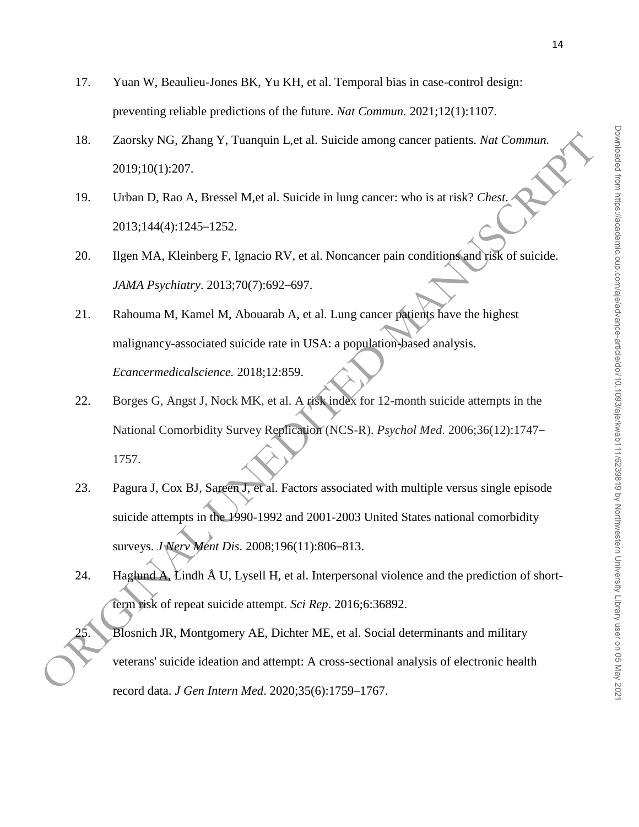- 17. Yuan W, Beaulieu-Jones BK, Yu KH, et al. Temporal bias in case-control design: preventing reliable predictions of the future. *Nat Commun.* 2021;12(1):1107.
- 18. Zaorsky NG, Zhang Y, Tuanquin L,et al. Suicide among cancer patients. *Nat Commun.*  2019;10(1):207.
- 19. Urban D, Rao A, Bressel M,et al. Suicide in lung cancer: who is at risk? *Chest*. 2013;144(4):1245–1252.
- 20. Ilgen MA, Kleinberg F, Ignacio RV, et al. Noncancer pain conditions and risk of suicide. *JAMA Psychiatry*. 2013;70(7):692–697.
- 21. Rahouma M, Kamel M, Abouarab A, et al. Lung cancer patients have the highest malignancy-associated suicide rate in USA: a population-based analysis. *Ecancermedicalscience.* 2018;12:859.
- 22. Borges G, Angst J, Nock MK, et al. A risk index for 12-month suicide attempts in the National Comorbidity Survey Replication (NCS-R). *Psychol Med*. 2006;36(12):1747– 1757. Ig Y, Tuanquin L, et al. Suicide among cancer patients. Nat Commun.<br>
Bressel M, et al. Suicide in lung cancer: who is at risk? Chest.<br>
-1252.<br>
Pressel M, al. Suicide in lung cancer pain conditions and risk of suicide.<br>
201
- 23. Pagura J, Cox BJ, Sareen J, et al. Factors associated with multiple versus single episode suicide attempts in the 1990-1992 and 2001-2003 United States national comorbidity surveys. *J Nerv Ment Dis.* 2008;196(11):806–813.
- 24. Haglund  $\overrightarrow{A}$ , Lindh  $\overrightarrow{A}$  U, Lysell H, et al. Interpersonal violence and the prediction of shortterm risk of repeat suicide attempt. *Sci Rep*. 2016;6:36892.
- 25. Blosnich JR, Montgomery AE, Dichter ME, et al. Social determinants and military suicide attempts in the 1990-1992 and 2001-2003 of the states national conforming<br>surveys. *J* Nerv Ment Dis. 2008;196(11):806-813.<br>24. Haglund A. Lindh Å U, Lysell H, et al. Interpersonal violence and the prediction of sl record data. *J Gen Intern Med*. 2020;35(6):1759–1767.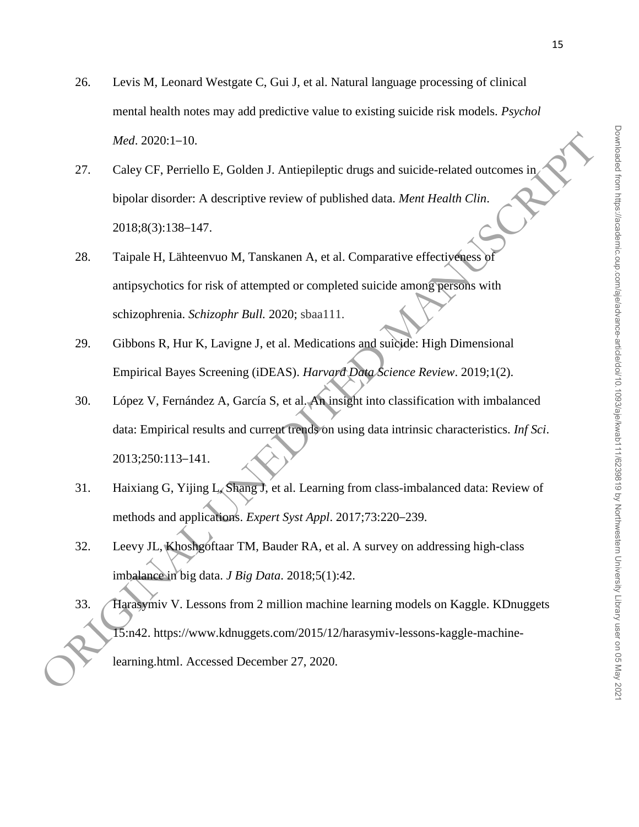- 26. Levis M, Leonard Westgate C, Gui J, et al. Natural language processing of clinical mental health notes may add predictive value to existing suicide risk models. *Psychol Med*. 2020:1–10.
- 27. Caley CF, Perriello E, Golden J. Antiepileptic drugs and suicide-related outcomes in bipolar disorder: A descriptive review of published data. *Ment Health Clin*. 2018;8(3):138–147.
- 28. Taipale H, Lähteenvuo M, Tanskanen A, et al. Comparative effectiveness of antipsychotics for risk of attempted or completed suicide among persons with schizophrenia. *Schizophr Bull.* 2020; sbaa111.
- 29. Gibbons R, Hur K, Lavigne J, et al. Medications and suicide: High Dimensional Empirical Bayes Screening (iDEAS). *Harvard Data Science Review*. 2019;1(2).
- 30. López V, Fernández A, García S, et al. An insight into classification with imbalanced data: Empirical results and current trends on using data intrinsic characteristics. *Inf Sci*. 2013;250:113–141.
- 31. Haixiang G, Yijing L, Shang J, et al. Learning from class-imbalanced data: Review of methods and applications. *Expert Syst Appl*. 2017;73:220–239.
- 32. Leevy JL, Khoshgoftaar TM, Bauder RA, et al. A survey on addressing high-class imbalance in big data. *J Big Data*. 2018;5(1):42.
- 33. Harasymiv V. Lessons from 2 million machine learning models on Kaggle. KDnuggets 15:n42. https://www.kdnuggets.com/2015/12/harasymiv-lessons-kaggle-machine-*Med.* 2020:1-10.<br>
27. Caley CF, Perriello E, Golden J. Antiepileptic drugs and suicide-related outcomes in Signal Hard Stanler: A descriptive review of published data. *Ment Health Clin.*<br>
2018:8(3):138-147.<br>
28. Taipale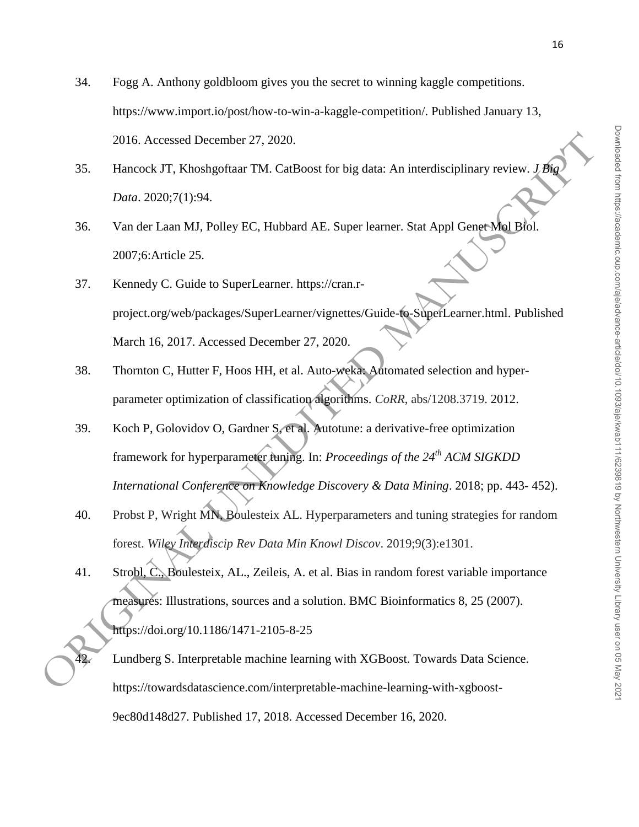- 34. Fogg A. Anthony goldbloom gives you the secret to winning kaggle competitions. https://www.import.io/post/how-to-win-a-kaggle-competition/. Published January 13, 2016. Accessed December 27, 2020.
- 35. Hancock JT, Khoshgoftaar TM. CatBoost for big data: An interdisciplinary review. *J Big Data*. 2020;7(1):94.
- 36. Van der Laan MJ, Polley EC, Hubbard AE. Super learner. Stat Appl Genet Mol Biol. 2007;6:Article 25.
- 37. Kennedy C. Guide to SuperLearner. https://cran.rproject.org/web/packages/SuperLearner/vignettes/Guide-to-SuperLearner.html. Published March 16, 2017. Accessed December 27, 2020.
- 38. Thornton C, Hutter F, Hoos HH, et al. Auto-weka: Automated selection and hyperparameter optimization of classification algorithms. *CoRR*, abs/1208.3719. 2012.
- 39. Koch P, Golovidov O, Gardner S, et al. Autotune: a derivative-free optimization framework for hyperparameter tuning. In: *Proceedings of the 24th ACM SIGKDD International Conference on Knowledge Discovery & Data Mining*. 2018; pp. 443- 452).
- 40. Probst P, Wright MN, Boulesteix AL. Hyperparameters and tuning strategies for random forest. *Wiley Interdiscip Rev Data Min Knowl Discov*. 2019;9(3):e1301.
- 41. Strobl, C., Boulesteix, AL., Zeileis, A. et al. Bias in random forest variable importance measures: Illustrations, sources and a solution. BMC Bioinformatics 8, 25 (2007). https://doi.org/10.1186/1471-2105-8-25 2016. Accessed December 27. 2020.<br>
35. Huncock JT, Khoshgofnar TM, CarlHoss for big data: An interdisciplinary review. *1 the*<br>
2020;7(1):94.<br>
36. Van der Laan MJ. Polley EC, Hubbard AE. Super learner. Stat Appl Genget Ma

42. Lundberg S. Interpretable machine learning with XGBoost. Towards Data Science. https://towardsdatascience.com/interpretable-machine-learning-with-xgboost-9ec80d148d27. Published 17, 2018. Accessed December 16, 2020.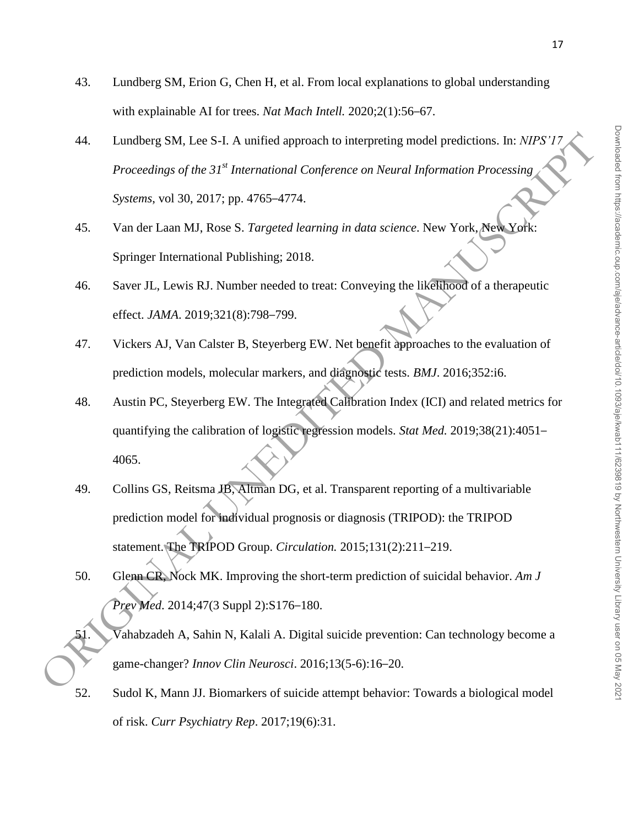- 43. Lundberg SM, Erion G, Chen H, et al. From local explanations to global understanding with explainable AI for trees. *Nat Mach Intell.* 2020;2(1):56–67.
- 44. Lundberg SM, Lee S-I. A unified approach to interpreting model predictions. In: *NIPS'17 Proceedings of the 31st International Conference on Neural Information Processing Systems*, vol 30, 2017; pp. 4765–4774. 44. Lundberg SM, Lee S-1. A unified approach to interpreting model predictions. In:  $NIPS/17$ <br>
Proceedings of the 33<sup>te</sup> International Conference on Neural Information Processing<br>
Systems, vol. 30, 2017; pp. 4765-4774.<br>
45
	- 45. Van der Laan MJ, Rose S. *Targeted learning in data science*. New York, New York: Springer International Publishing; 2018.
	- 46. Saver JL, Lewis RJ. Number needed to treat: Conveying the likelihood of a therapeutic effect. *JAMA*. 2019;321(8):798–799.
	- 47. Vickers AJ, Van Calster B, Steyerberg EW. Net benefit approaches to the evaluation of prediction models, molecular markers, and diagnostic tests. *BMJ*. 2016;352:i6.
	- 48. Austin PC, Steyerberg EW. The Integrated Calibration Index (ICI) and related metrics for quantifying the calibration of logistic regression models. *Stat Med.* 2019;38(21):4051– 4065.
	- 49. Collins GS, Reitsma JB, Altman DG, et al. Transparent reporting of a multivariable prediction model for individual prognosis or diagnosis (TRIPOD): the TRIPOD statement. The TRIPOD Group. *Circulation.* 2015;131(2):211–219.
	- 50. Glenn CR, Nock MK. Improving the short-term prediction of suicidal behavior. *Am J Prev Med*. 2014;47(3 Suppl 2):S176–180.
	- $\overline{V}$ ahabzadeh A, Sahin N, Kalali A. Digital suicide prevention: Can technology become a game-changer? *Innov Clin Neurosci*. 2016;13(5-6):16–20.
	- 52. Sudol K, Mann JJ. Biomarkers of suicide attempt behavior: Towards a biological model of risk. *Curr Psychiatry Rep*. 2017;19(6):31.